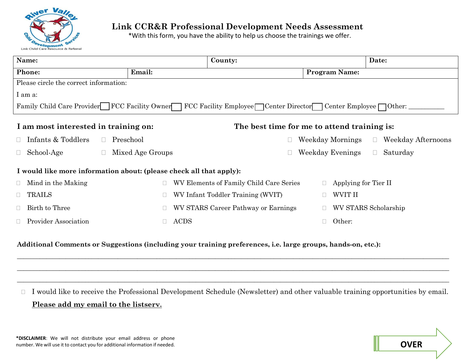

## **Link CCR&R Professional Development Needs Assessment**

\*With this form, you have the ability to help us choose the trainings we offer.

| Name:                                                                                                      | County:                           |                                         |                      | Date:                   |  |
|------------------------------------------------------------------------------------------------------------|-----------------------------------|-----------------------------------------|----------------------|-------------------------|--|
| Phone:                                                                                                     | Email:                            |                                         | <b>Program Name:</b> |                         |  |
| Please circle the correct information:                                                                     |                                   |                                         |                      |                         |  |
| I am a:                                                                                                    |                                   |                                         |                      |                         |  |
| Family Child Care Provider FCC Facility Owner FCC Facility Employee Center Director Center Employee Other: |                                   |                                         |                      |                         |  |
| I am most interested in training on:<br>The best time for me to attend training is:                        |                                   |                                         |                      |                         |  |
| Infants & Toddlers<br>Preschool<br>П<br>$\Box$                                                             |                                   |                                         | Weekday Mornings     | Weekday Afternoons<br>П |  |
| School-Age<br>$\Box$<br>$\Box$                                                                             | Mixed Age Groups                  |                                         | Weekday Evenings     | Saturday<br>П.          |  |
| I would like more information about: (please check all that apply):                                        |                                   |                                         |                      |                         |  |
| Mind in the Making<br>$\Box$                                                                               |                                   | WV Elements of Family Child Care Series | Applying for Tier II |                         |  |
| <b>TRAILS</b><br>$\Box$                                                                                    | WV Infant Toddler Training (WVIT) |                                         | WVIT II              |                         |  |
| Birth to Three                                                                                             |                                   | WV STARS Career Pathway or Earnings     |                      | WV STARS Scholarship    |  |
| <b>Provider Association</b>                                                                                | <b>ACDS</b>                       |                                         | Other:               |                         |  |

**Additional Comments or Suggestions (including your training preferences, i.e. large groups, hands-on, etc.):** 

 I would like to receive the Professional Development Schedule (Newsletter) and other valuable training opportunities by email. **Please add my email to the listserv.**

**\_\_\_\_\_\_\_\_\_\_\_\_\_\_\_\_\_\_\_\_\_\_\_\_\_\_\_\_\_\_\_\_\_\_\_\_\_\_\_\_\_\_\_\_\_\_\_\_\_\_\_\_\_\_\_\_\_\_\_\_\_\_\_\_\_\_\_\_\_\_\_\_\_\_\_\_\_\_\_\_\_\_\_\_\_\_\_\_\_\_\_\_\_\_\_\_\_\_\_\_\_\_\_\_\_\_\_\_\_\_\_\_\_\_\_\_\_\_\_\_\_\_\_\_\_\_\_\_\_\_\_\_\_ \_\_\_\_\_\_\_\_\_\_\_\_\_\_\_\_\_\_\_\_\_\_\_\_\_\_\_\_\_\_\_\_\_\_\_\_\_\_\_\_\_\_\_\_\_\_\_\_\_\_\_\_\_\_\_\_\_\_\_\_\_\_\_\_\_\_\_\_\_\_\_\_\_\_\_\_\_\_\_\_\_\_\_\_\_\_\_\_\_\_\_\_\_\_\_\_\_\_\_\_\_\_\_\_\_\_\_\_\_\_\_\_\_\_\_\_\_\_\_\_\_\_\_\_\_\_\_\_\_\_\_\_\_ \_\_\_\_\_\_\_\_\_\_\_\_\_\_\_\_\_\_\_\_\_\_\_\_\_\_\_\_\_\_\_\_\_\_\_\_\_\_\_\_\_\_\_\_\_\_\_\_\_\_\_\_\_\_\_\_\_\_\_\_\_\_\_\_\_\_\_\_\_\_\_\_\_\_\_\_\_\_\_\_\_\_\_\_\_\_\_\_\_\_\_\_\_\_\_\_\_\_\_\_\_\_\_\_\_\_\_\_\_\_\_\_\_\_\_\_\_\_\_\_\_\_\_\_\_\_\_\_\_\_\_\_\_**